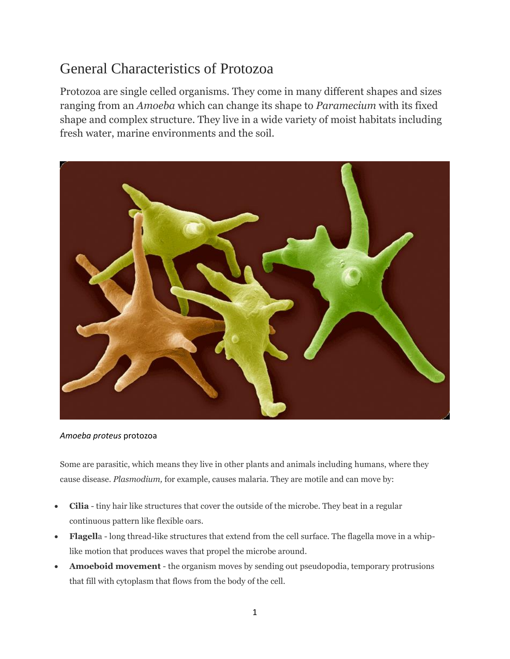## General Characteristics of Protozoa

Protozoa are single celled organisms. They come in many different shapes and sizes ranging from an *Amoeba* which can change its shape to *Paramecium* with its fixed shape and complex structure. They live in a wide variety of moist habitats including fresh water, marine environments and the soil.



## *Amoeba proteus* protozoa

Some are parasitic, which means they live in other plants and animals including humans, where they cause disease. *Plasmodium,* for example, causes malaria. They are motile and can move by:

- **Cilia** tiny hair like structures that cover the outside of the microbe. They beat in a regular continuous pattern like flexible oars.
- **Flagell**a long thread-like structures that extend from the cell surface. The flagella move in a whiplike motion that produces waves that propel the microbe around.
- **Amoeboid movement** the organism moves by sending out pseudopodia, temporary protrusions that fill with cytoplasm that flows from the body of the cell.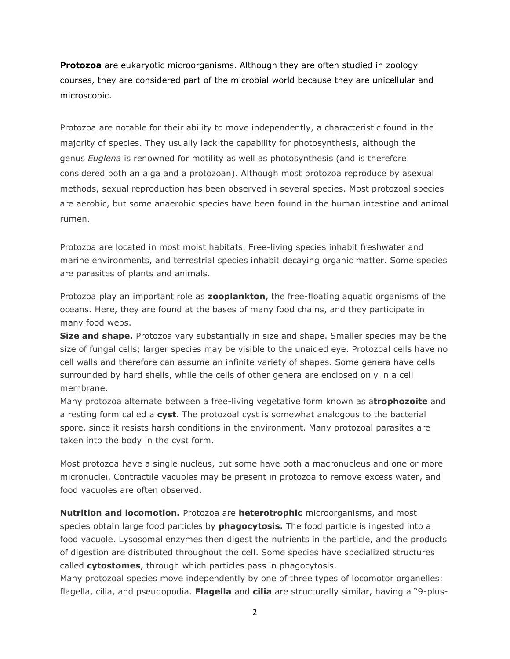**Protozoa** are eukaryotic microorganisms. Although they are often studied in zoology courses, they are considered part of the microbial world because they are unicellular and microscopic.

Protozoa are notable for their ability to move independently, a characteristic found in the majority of species. They usually lack the capability for photosynthesis, although the genus *Euglena* is renowned for motility as well as photosynthesis (and is therefore considered both an alga and a protozoan). Although most protozoa reproduce by asexual methods, sexual reproduction has been observed in several species. Most protozoal species are aerobic, but some anaerobic species have been found in the human intestine and animal rumen.

Protozoa are located in most moist habitats. Free-living species inhabit freshwater and marine environments, and terrestrial species inhabit decaying organic matter. Some species are parasites of plants and animals.

Protozoa play an important role as **zooplankton**, the free-floating aquatic organisms of the oceans. Here, they are found at the bases of many food chains, and they participate in many food webs.

**Size and shape.** Protozoa vary substantially in size and shape. Smaller species may be the size of fungal cells; larger species may be visible to the unaided eye. Protozoal cells have no cell walls and therefore can assume an infinite variety of shapes. Some genera have cells surrounded by hard shells, while the cells of other genera are enclosed only in a cell membrane.

Many protozoa alternate between a free-living vegetative form known as a**trophozoite** and a resting form called a **cyst.** The protozoal cyst is somewhat analogous to the bacterial spore, since it resists harsh conditions in the environment. Many protozoal parasites are taken into the body in the cyst form.

Most protozoa have a single nucleus, but some have both a macronucleus and one or more micronuclei. Contractile vacuoles may be present in protozoa to remove excess water, and food vacuoles are often observed.

**Nutrition and locomotion.** Protozoa are **heterotrophic** microorganisms, and most species obtain large food particles by **phagocytosis.** The food particle is ingested into a food vacuole. Lysosomal enzymes then digest the nutrients in the particle, and the products of digestion are distributed throughout the cell. Some species have specialized structures called **cytostomes**, through which particles pass in phagocytosis.

Many protozoal species move independently by one of three types of locomotor organelles: flagella, cilia, and pseudopodia. **Flagella** and **cilia** are structurally similar, having a "9-plus